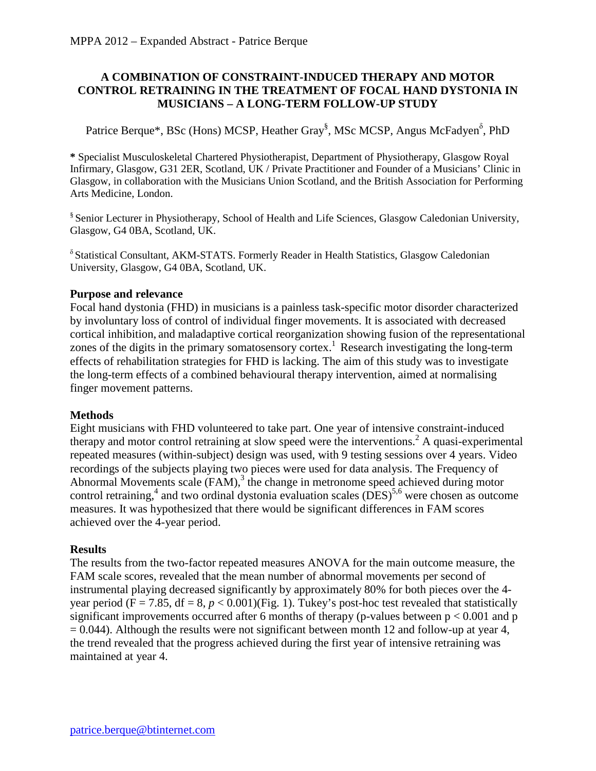# **A COMBINATION OF CONSTRAINT-INDUCED THERAPY AND MOTOR CONTROL RETRAINING IN THE TREATMENT OF FOCAL HAND DYSTONIA IN MUSICIANS – A LONG-TERM FOLLOW-UP STUDY**

Patrice Berque\*, BSc (Hons) MCSP, Heather Gray<sup>§</sup>, MSc MCSP, Angus McFadyen<sup>8</sup>, PhD

**\*** Specialist Musculoskeletal Chartered Physiotherapist, Department of Physiotherapy, Glasgow Royal Infirmary, Glasgow, G31 2ER, Scotland, UK / Private Practitioner and Founder of a Musicians' Clinic in Glasgow, in collaboration with the Musicians Union Scotland, and the British Association for Performing Arts Medicine, London.

§ Senior Lecturer in Physiotherapy, School of Health and Life Sciences, Glasgow Caledonian University, Glasgow, G4 0BA, Scotland, UK.

 $\delta$  Statistical Consultant, AKM-STATS. Formerly Reader in Health Statistics, Glasgow Caledonian University, Glasgow, G4 0BA, Scotland, UK.

## **Purpose and relevance**

Focal hand dystonia (FHD) in musicians is a painless task-specific motor disorder characterized by involuntary loss of control of individual finger movements. It is associated with decreased cortical inhibition, and maladaptive cortical reorganization showing fusion of the representational zones of the digits in the primary somatosensory cortex.<sup>1</sup> Research investigating the long-term effects of rehabilitation strategies for FHD is lacking. The aim of this study was to investigate the long-term effects of a combined behavioural therapy intervention, aimed at normalising finger movement patterns.

## **Methods**

Eight musicians with FHD volunteered to take part. One year of intensive constraint-induced therapy and motor control retraining at slow speed were the interventions.<sup>2</sup> A quasi-experimental repeated measures (within-subject) design was used, with 9 testing sessions over 4 years. Video recordings of the subjects playing two pieces were used for data analysis. The Frequency of Abnormal Movements scale (FAM), <sup>3</sup> the change in metronome speed achieved during motor control retraining,<sup>4</sup> and two ordinal dystonia evaluation scales (DES)<sup>5,6</sup> were chosen as outcome measures. It was hypothesized that there would be significant differences in FAM scores achieved over the 4-year period.

## **Results**

The results from the two-factor repeated measures ANOVA for the main outcome measure, the FAM scale scores, revealed that the mean number of abnormal movements per second of instrumental playing decreased significantly by approximately 80% for both pieces over the 4 year period (F = 7.85, df = 8,  $p < 0.001$ )(Fig. 1). Tukey's post-hoc test revealed that statistically significant improvements occurred after 6 months of therapy (p-values between  $p < 0.001$  and p  $= 0.044$ ). Although the results were not significant between month 12 and follow-up at year 4, the trend revealed that the progress achieved during the first year of intensive retraining was maintained at year 4.